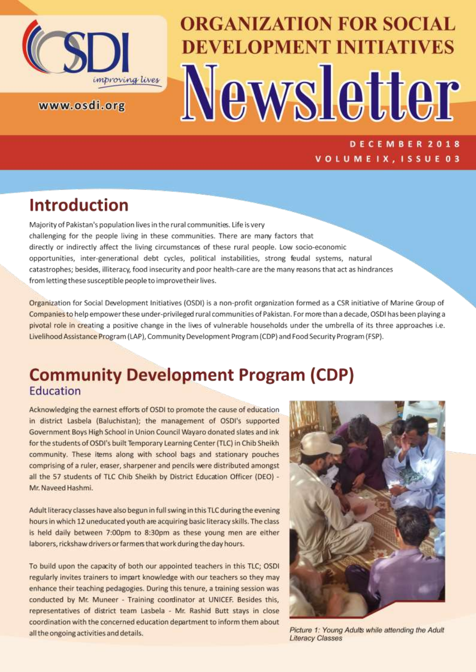

www.osdi.org

# **ORGANIZATION FOR SOCIAL DEVELOPMENT INITIATIVES** Newsletter

DECEMBER 2018 VOLUMEIX, ISSUE 03

# **Introduction**

Majority of Pakistan's population lives in the rural communities. Life is very challenging for the people living in these communities. There are many factors that directly or indirectly affect the living circumstances of these rural people. Low socio-economic opportunities, inter-generational debt cycles, political instabilities, strong feudal systems, natural catastrophes; besides, illiteracy, food insecurity and poor health-care are the many reasons that act as hindrances from letting these susceptible people to improvetheir lives.

Organization for Social Development Initiatives (OSDI) is a non-profit organization formed as a CSR initiative of Marine Group of Companies to help empower these under-privileged rural communities of Pakistan. For more than a decade, OSDI has been playing a pivotal role in creating a positive change in the lives of vulnerable households under the umbrella of its three approaches i.e. Livelihood Assistance Program (LAP), Community Development Program (CDP) and Food Security Program (FSP).

## **Community Development Program (CDP)** Education

Acknowledging the earnest efforts of OSDI to promote the cause of education in district Lasbela (Baluchistan); the management of OSDI's supported Government Boys High School in Union Council Wayaro donated slates and ink for the students of OSDI's built Temporary Learning Center (TLC) in Chib Sheikh community. These items along with school bags and stationary pouches comprising of a ruler, eraser, sharpener and pencils were distributed amongst all the 57 students of TLC Chib Sheikh by District Education Officer (DEO) -Mr. Naveed Hashmi.

Adult literacy classes have also begun in full swing in this TLC during the evening hours in which 12 uneducated youth are acquiring basic literacy skills. The class is held daily between 7:00pm to 8:30pm as these young men are either laborers, rickshaw drivers or farmers that work during the day hours.

To build upon the capacity of both our appointed teachers in this TLC; OSDI regularly invites trainers to impart knowledge with our teachers so they may enhance their teaching pedagogies. During this tenure, a training session was conducted by Mr. Muneer - Training coordinator at UNICEF. Besides this, representatives of district team Lasbela - Mr. Rashid Butt stays in close coordination with the concerned education department to inform them about all the ongoing activities and details.



Picture 1: Young Adults while attending the Adult **Literacy Classes**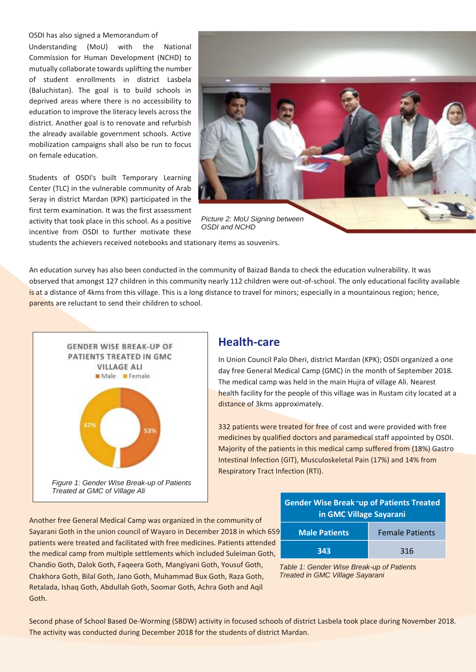OSDI has also signed a Memorandum of

Understanding (MoU) with the National Commission for Human Development (NCHD) to mutually collaborate towards uplifting the number of student enrollments in district Lasbela (Baluchistan). The goal is to build schools in deprived areas where there is no accessibility to education to improve the literacy levels across the district. Another goal is to renovate and refurbish the already available government schools. Active mobilization campaigns shall also be run to focus on female education.

Students of OSDI's built Temporary Learning Center (TLC) in the vulnerable community of Arab Seray in district Mardan (KPK) participated in the first term examination. It was the first assessment activity that took place in this school. As a positive incentive from OSDI to further motivate these



students the achievers received notebooks and stationary items as souvenirs.

An education survey has also been conducted in the community of Baizad Banda to check the education vulnerability. It was observed that amongst 127 children in this community nearly 112 children were out-of-school. The only educational facility available is at a distance of 4kms from this village. This is a long distance to travel for minors; especially in a mountainous region; hence, parents are reluctant to send their children to school.



#### **Health-care**

In Union Council Palo Dheri, district Mardan (KPK); OSDI organized a one day free General Medical Camp (GMC) in the month of September 2018. The medical camp was held in the main Hujra of village Ali. Nearest health facility for the people of this village was in Rustam city located at a distance of 3kms approximately.

332 patients were treated for free of cost and were provided with free medicines by qualified doctors and paramedical staff appointed by OSDI. Majority of the patients in this medical camp suffered from (18%) Gastro Intestinal Infection (GIT), Musculoskeletal Pain (17%) and 14% from Respiratory Tract Infection (RTI).

Another free General Medical Camp was organized in the community of Sayarani Goth in the union council of Wayaro in December 2018 in which 659 patients were treated and facilitated with free medicines. Patients attended the medical camp from multiple settlements which included Suleiman Goth, Chandio Goth, Dalok Goth, Faqeera Goth, Mangiyani Goth, Yousuf Goth, Chakhora Goth, Bilal Goth, Jano Goth, Muhammad Bux Goth, Raza Goth, Retalada, Ishaq Goth, Abdullah Goth, Soomar Goth, Achra Goth and Aqil Goth.

| <b>Gender Wise Break -up of Patients Treated</b><br>in GMC Village Sayarani |                        |  |
|-----------------------------------------------------------------------------|------------------------|--|
| <b>Male Patients</b>                                                        | <b>Female Patients</b> |  |
| 343                                                                         | 316                    |  |



Second phase of School Based De-Worming (SBDW) activity in focused schools of district Lasbela took place during November 2018. The activity was conducted during December 2018 for the students of district Mardan.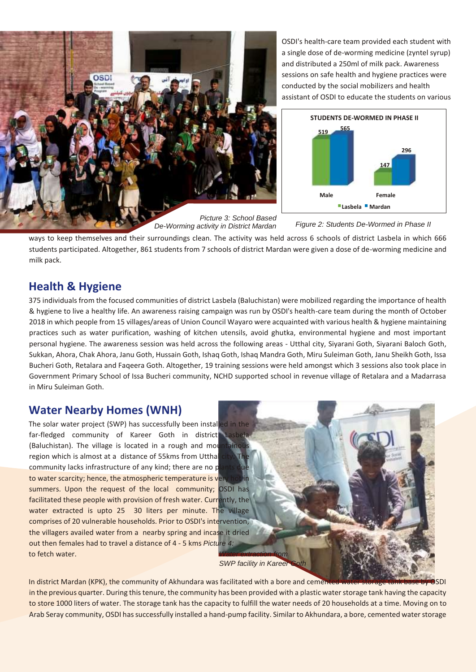

OSDI's health-care team provided each student with a single dose of de-worming medicine (zyntel syrup) and distributed a 250ml of milk pack. Awareness sessions on safe health and hygiene practices were conducted by the social mobilizers and health assistant of OSDI to educate the students on various



*De-Worming activity in District Mardan*

*Figure 2: Students De-Wormed in Phase II*

ways to keep themselves and their surroundings clean. The activity was held across 6 schools of district Lasbela in which 666 students participated. Altogether, 861 students from 7 schools of district Mardan were given a dose of de-worming medicine and milk pack.

#### **Health & Hygiene**

375 individuals from the focused communities of district Lasbela (Baluchistan) were mobilized regarding the importance of health & hygiene to live a healthy life. An awareness raising campaign was run by OSDI's health-care team during the month of October 2018 in which people from 15 villages/areas of Union Council Wayaro were acquainted with various health & hygiene maintaining practices such as water purification, washing of kitchen utensils, avoid ghutka, environmental hygiene and most important personal hygiene. The awareness session was held across the following areas - Utthal city, Siyarani Goth, Siyarani Baloch Goth, Sukkan, Ahora, Chak Ahora, Janu Goth, Hussain Goth, Ishaq Goth, Ishaq Mandra Goth, Miru Suleiman Goth, Janu Sheikh Goth, Issa Bucheri Goth, Retalara and Faqeera Goth. Altogether, 19 training sessions were held amongst which 3 sessions also took place in Government Primary School of Issa Bucheri community, NCHD supported school in revenue village of Retalara and a Madarrasa in Miru Suleiman Goth.

### **Water Nearby Homes (WNH)**

The solar water project (SWP) has successfully been installed in the far-fledged community of Kareer Goth in district (Baluchistan). The village is located in a rough and mot region which is almost at a distance of 55kms from Utthal community lacks infrastructure of any kind; there are no  $p$ to water scarcity; hence, the atmospheric temperature is ver summers. Upon the request of the local community; OSDI has facilitated these people with provision of fresh water. Currently, the water extracted is upto 25 30 liters per minute. The village comprises of 20 vulnerable households. Prior to OSDI's intervention, the villagers availed water from a nearby spring and incase it dried out then females had to travel a distance of 4 - 5 kms *Picture 4:*  to fetch water.

**SWP facility in Kareer** 

In district Mardan (KPK), the community of Akhundara was facilitated with a bore and cemented water storage tank base by OSDI in the previous quarter. During thistenure, the community has been provided with a plastic water storage tank having the capacity to store 1000 liters of water. The storage tank has the capacity to fulfill the water needs of 20 households at a time. Moving on to Arab Seray community, OSDI has successfully installed a hand-pump facility. Similar to Akhundara, a bore, cemented water storage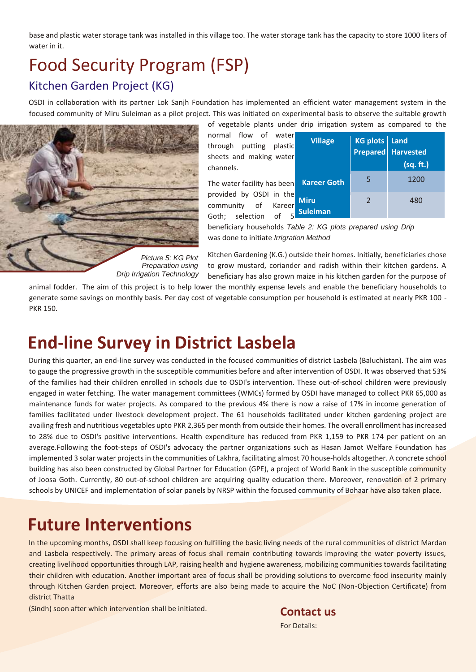base and plastic water storage tank was installed in this village too. The water storage tank has the capacity to store 1000 liters of water in it.

## Food Security Program (FSP) Kitchen Garden Project (KG)

OSDI in collaboration with its partner Lok Sanjh Foundation has implemented an efficient water management system in the focused community of Miru Suleiman as a pilot project. This was initiated on experimental basis to observe the suitable growth



| of vegetable plants under drip irrigation system as compared to the                     |                                |                 |                                 |
|-----------------------------------------------------------------------------------------|--------------------------------|-----------------|---------------------------------|
| normal flow of water<br>through putting plastic<br>sheets and making water<br>channels. | <b>Village</b>                 | KG plots   Land | Prepared Harvested<br>(sq. ft.) |
| The water facility has been                                                             | <b>Kareer Goth</b>             | 5               | 1200                            |
| provided by OSDI in the<br>community of Kareer<br>Goth; selection of 5                  | <b>Miru</b><br><b>Suleiman</b> | 2               | 480                             |

beneficiary households *Table 2: KG plots prepared using Drip*  was done to initiate *Irrigration Method*

*Preparation using Drip Irrigation Technology* 

Kitchen Gardening (K.G.) outside their homes. Initially, beneficiaries chose to grow mustard, coriander and radish within their kitchen gardens. A beneficiary has also grown maize in his kitchen garden for the purpose of

animal fodder. The aim of this project is to help lower the monthly expense levels and enable the beneficiary households to generate some savings on monthly basis. Per day cost of vegetable consumption per household is estimated at nearly PKR 100 - PKR 150.

## **End-line Survey in District Lasbela**

During this quarter, an end-line survey was conducted in the focused communities of district Lasbela (Baluchistan). The aim was to gauge the progressive growth in the susceptible communities before and after intervention of OSDI. It was observed that 53% of the families had their children enrolled in schools due to OSDI's intervention. These out-of-school children were previously engaged in water fetching. The water management committees (WMCs) formed by OSDI have managed to collect PKR 65,000 as maintenance funds for water projects. As compared to the previous 4% there is now a raise of 17% in income generation of families facilitated under livestock development project. The 61 households facilitated under kitchen gardening project are availing fresh and nutritious vegetables upto PKR 2,365 per month from outside their homes. The overall enrollment has increased to 28% due to OSDI's positive interventions. Health expenditure has reduced from PKR 1,159 to PKR 174 per patient on an average.Following the foot-steps of OSDI's advocacy the partner organizations such as Hasan Jamot Welfare Foundation has implemented 3 solar water projects in the communities of Lakhra, facilitating almost 70 house-holds altogether. A concrete school building has also been constructed by Global Partner for Education (GPE), a project of World Bank in the susceptible community of Joosa Goth. Currently, 80 out-of-school children are acquiring quality education there. Moreover, renovation of 2 primary schools by UNICEF and implementation of solar panels by NRSP within the focused community of Bohaar have also taken place.

# **Future Interventions**

In the upcoming months, OSDI shall keep focusing on fulfilling the basic living needs of the rural communities of district Mardan and Lasbela respectively. The primary areas of focus shall remain contributing towards improving the water poverty issues, creating livelihood opportunities through LAP, raising health and hygiene awareness, mobilizing communities towards facilitating their children with education. Another important area of focus shall be providing solutions to overcome food insecurity mainly through Kitchen Garden project. Moreover, efforts are also being made to acquire the NoC (Non-Objection Certificate) from district Thatta

(Sindh) soon after which intervention shall be initiated. **Contactus**